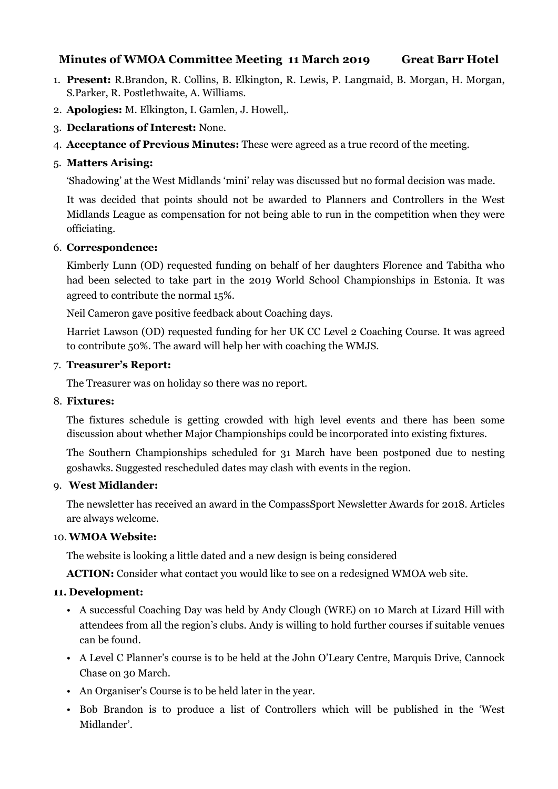# **Minutes of WMOA Committee Meeting 11 March 2019 Great Barr Hotel**

- 1. **Present:** R.Brandon, R. Collins, B. Elkington, R. Lewis, P. Langmaid, B. Morgan, H. Morgan, S.Parker, R. Postlethwaite, A. Williams.
- 2. **Apologies:** M. Elkington, I. Gamlen, J. Howell,.
- 3. **Declarations of Interest:** None.
- 4. **Acceptance of Previous Minutes:** These were agreed as a true record of the meeting.

#### 5. **Matters Arising:**

'Shadowing' at the West Midlands 'mini' relay was discussed but no formal decision was made.

It was decided that points should not be awarded to Planners and Controllers in the West Midlands League as compensation for not being able to run in the competition when they were officiating.

#### 6. **Correspondence:**

Kimberly Lunn (OD) requested funding on behalf of her daughters Florence and Tabitha who had been selected to take part in the 2019 World School Championships in Estonia. It was agreed to contribute the normal 15%.

Neil Cameron gave positive feedback about Coaching days.

Harriet Lawson (OD) requested funding for her UK CC Level 2 Coaching Course. It was agreed to contribute 50%. The award will help her with coaching the WMJS.

#### 7. **Treasurer's Report:**

The Treasurer was on holiday so there was no report.

#### 8. **Fixtures:**

The fixtures schedule is getting crowded with high level events and there has been some discussion about whether Major Championships could be incorporated into existing fixtures.

The Southern Championships scheduled for 31 March have been postponed due to nesting goshawks. Suggested rescheduled dates may clash with events in the region.

#### 9. **West Midlander:**

The newsletter has received an award in the CompassSport Newsletter Awards for 2018. Articles are always welcome.

#### 10. **WMOA Website:**

The website is looking a little dated and a new design is being considered

**ACTION:** Consider what contact you would like to see on a redesigned WMOA web site.

#### **11. Development:**

- A successful Coaching Day was held by Andy Clough (WRE) on 10 March at Lizard Hill with attendees from all the region's clubs. Andy is willing to hold further courses if suitable venues can be found.
- A Level C Planner's course is to be held at the John O'Leary Centre, Marquis Drive, Cannock Chase on 30 March.
- An Organiser's Course is to be held later in the year.
- Bob Brandon is to produce a list of Controllers which will be published in the 'West Midlander'.